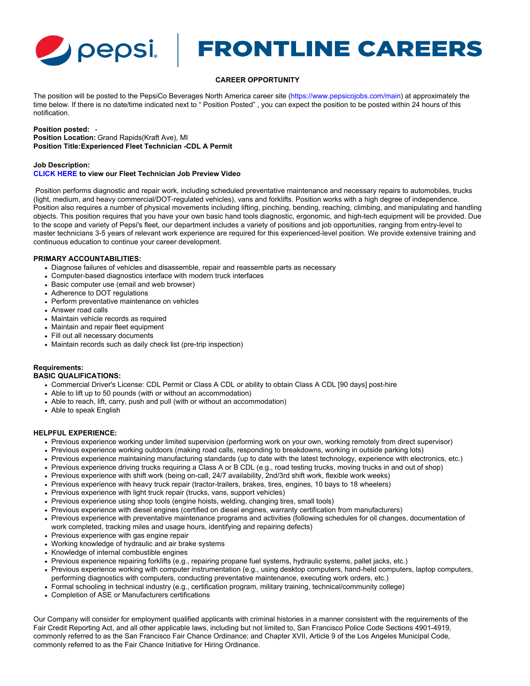

# **FRONTLINE CAREERS**

# **CAREER OPPORTUNITY**

The position will be posted to the PepsiCo Beverages North America career site [\(https://www.pepsicojobs.com/main](https://www.pepsicojobs.com/main)) at approximately the time below. If there is no date/time indicated next to " Position Posted" , you can expect the position to be posted within 24 hours of this notification.

#### **Position posted:** -

**Position Location:** Grand Rapids(Kraft Ave), MI **Position Title:Experienced Fleet Technician -CDL A Permit**

## **Job Description:**

#### **[CLICK HERE](https://vimeo.com/663091266) to view our Fleet Technician Job Preview Video**

 Position performs diagnostic and repair work, including scheduled preventative maintenance and necessary repairs to automobiles, trucks (light, medium, and heavy commercial/DOT-regulated vehicles), vans and forklifts. Position works with a high degree of independence. Position also requires a number of physical movements including lifting, pinching, bending, reaching, climbing, and manipulating and handling objects. This position requires that you have your own basic hand tools diagnostic, ergonomic, and high-tech equipment will be provided. Due to the scope and variety of Pepsi's fleet, our department includes a variety of positions and job opportunities, ranging from entry-level to master technicians 3-5 years of relevant work experience are required for this experienced-level position. We provide extensive training and continuous education to continue your career development.

## **PRIMARY ACCOUNTABILITIES:**

- Diagnose failures of vehicles and disassemble, repair and reassemble parts as necessary
- Computer-based diagnostics interface with modern truck interfaces
- Basic computer use (email and web browser)
- Adherence to DOT regulations
- Perform preventative maintenance on vehicles
- Answer road calls
- Maintain vehicle records as required
- Maintain and repair fleet equipment
- Fill out all necessary documents
- Maintain records such as daily check list (pre-trip inspection)

# **Requirements:**

#### **BASIC QUALIFICATIONS:**

- Commercial Driver's License: CDL Permit or Class A CDL or ability to obtain Class A CDL [90 days] post-hire
- Able to lift up to 50 pounds (with or without an accommodation)
- Able to reach, lift, carry, push and pull (with or without an accommodation)
- Able to speak English

# **HELPFUL EXPERIENCE:**

- Previous experience working under limited supervision (performing work on your own, working remotely from direct supervisor)
- Previous experience working outdoors (making road calls, responding to breakdowns, working in outside parking lots)
- Previous experience maintaining manufacturing standards (up to date with the latest technology, experience with electronics, etc.)
- Previous experience driving trucks requiring a Class A or B CDL (e.g., road testing trucks, moving trucks in and out of shop)
- Previous experience with shift work (being on-call, 24/7 availability, 2nd/3rd shift work, flexible work weeks)
- Previous experience with heavy truck repair (tractor-trailers, brakes, tires, engines, 10 bays to 18 wheelers)
- Previous experience with light truck repair (trucks, vans, support vehicles)
- Previous experience using shop tools (engine hoists, welding, changing tires, small tools)
- Previous experience with diesel engines (certified on diesel engines, warranty certification from manufacturers)
- Previous experience with preventative maintenance programs and activities (following schedules for oil changes, documentation of work completed, tracking miles and usage hours, identifying and repairing defects)
- Previous experience with gas engine repair
- Working knowledge of hydraulic and air brake systems
- Knowledge of internal combustible engines
- Previous experience repairing forklifts (e.g., repairing propane fuel systems, hydraulic systems, pallet jacks, etc.)
- Previous experience working with computer instrumentation (e.g., using desktop computers, hand-held computers, laptop computers, performing diagnostics with computers, conducting preventative maintenance, executing work orders, etc.)
- Formal schooling in technical industry (e.g., certification program, military training, technical/community college)
- Completion of ASE or Manufacturers certifications

Our Company will consider for employment qualified applicants with criminal histories in a manner consistent with the requirements of the Fair Credit Reporting Act, and all other applicable laws, including but not limited to, San Francisco Police Code Sections 4901-4919, commonly referred to as the San Francisco Fair Chance Ordinance; and Chapter XVII, Article 9 of the Los Angeles Municipal Code, commonly referred to as the Fair Chance Initiative for Hiring Ordinance.